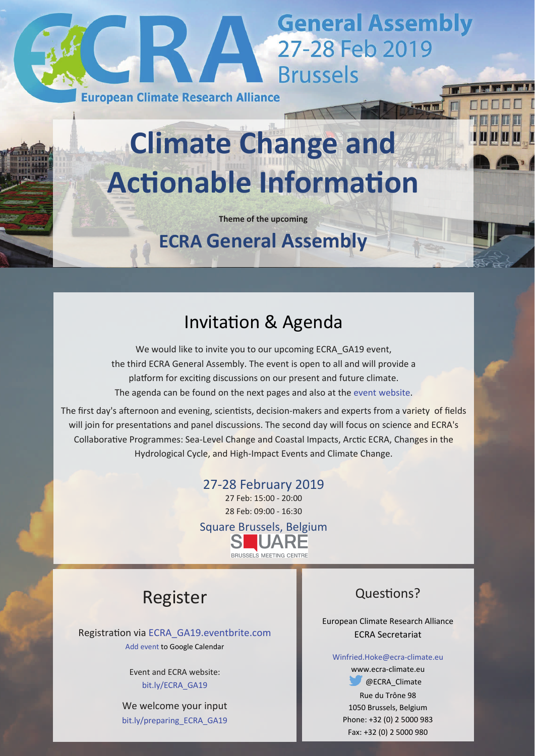

# **Climate Change and AcƟonable InformaƟon**

**Theme of the upcoming**

**ECRA General Assembly**

# Invitation & Agenda

We would like to invite you to our upcoming ECRA\_GA19 event, the third ECRA General Assembly. The event is open to all and will provide a platform for exciting discussions on our present and future climate. The agenda can be found on the next pages and also at the event [website](http://www.ecra-climate.eu/activities-events/ecra-general-assemblies/182-ecra-ga19-2b).

The first day's afternoon and evening, scientists, decision-makers and experts from a variety of fields will join for presentations and panel discussions. The second day will focus on science and ECRA's Collaborative Programmes: Sea-Level Change and Coastal Impacts, Arctic ECRA, Changes in the Hydrological Cycle, and High-Impact Events and Climate Change.

### 27‐28 February 2019

27 Feb: 15:00 ‐ 20:00 28 Feb: 09:00 ‐ 16:30



# Register

Registration via [ECRA\\_GA19.eventbrite.com](http://ECRA_GA19.eventbrite.com) Add event to Google [Calendar](https://calendar.google.com/event?action=TEMPLATE&tmeid=N2JrMjByNmVwMG9jcjBlNXNlNWszb2Nuc3YgNzUzMGh0aDkxb24yMjJsN3VudTdjcDluamdAZw&tmsrc=7530hth91on222l7unu7cp9njg%40group.calendar.google.com)

> Event and ECRA website: [bit.ly/ECRA\\_GA19](http://www.ecra-climate.eu/activities-events/ecra-general-assemblies/182-ecra-ga19-2b)

We welcome your input [bit.ly/preparing\\_ECRA\\_GA19](http://bit.ly/preparing_ECRA_GA19)

### Questions?

European Climate Research Alliance ECRA Secretariat

#### [Winfried.Hoke@ecra](mailto:Winfried.Hoke@ecra-climate.eu)‐climate.eu

www.ecra‐climate.eu **@ECRA** Climate Rue du Trône 98 1050 Brussels, Belgium Phone: +32 (0) 2 5000 983 Fax: +32 (0) 2 5000 980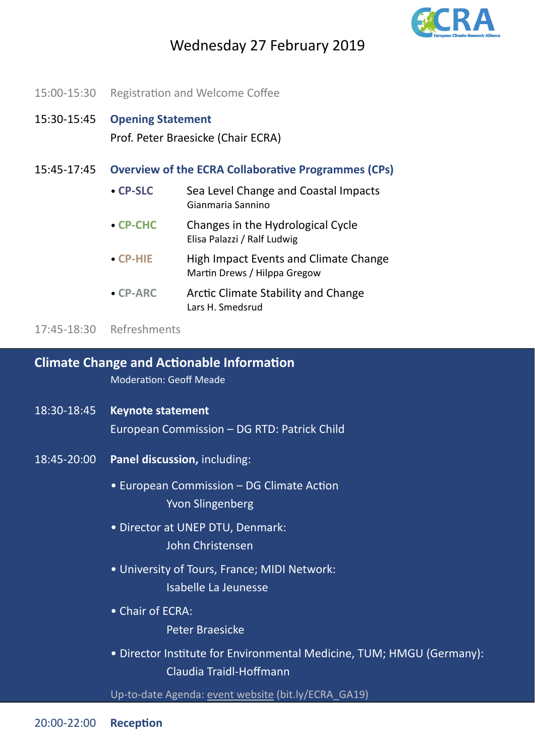

# Wednesday 27 February 2019

15:00-15:30 Registration and Welcome Coffee

## 15:30‐15:45 **Opening Statement** Prof. Peter Braesicke (Chair ECRA)

- 15:45‐17:45 **Overview of the ECRA CollaboraƟve Programmes (CPs)**
	- **CP‐SLC** Sea Level Change and Coastal Impacts Gianmaria Sannino
	- **CP‐CHC** Changes in the Hydrological Cycle Elisa Palazzi / Ralf Ludwig
	- **CP‐HIE** High Impact Events and Climate Change Martin Drews / Hilppa Gregow
	- **CP‐ARC** ArcƟc Climate Stability and Change Lars H. Smedsrud

17:45‐18:30 Refreshments

### **Climate Change and AcƟonable InformaƟon**

Moderation: Geoff Meade

- 18:30‐18:45 **Keynote statement** European Commission – DG RTD: Patrick Child
- 18:45‐20:00 **Panel discussion,** including:
	- European Commission DG Climate Action Yvon Slingenberg
	- Director at UNEP DTU, Denmark: John Christensen
	- University of Tours, France; MIDI Network: Isabelle La Jeunesse
	- Chair of ECRA:
		- Peter Braesicke
	- Director Institute for Environmental Medicine, TUM; HMGU (Germany): Claudia Traidl‐Hoffmann

Up-to-date Agenda: event [website](http://www.ecra-climate.eu/activities-events/ecra-general-assemblies/182-ecra-ga19-2b) (bit.ly/ECRA\_GA19)